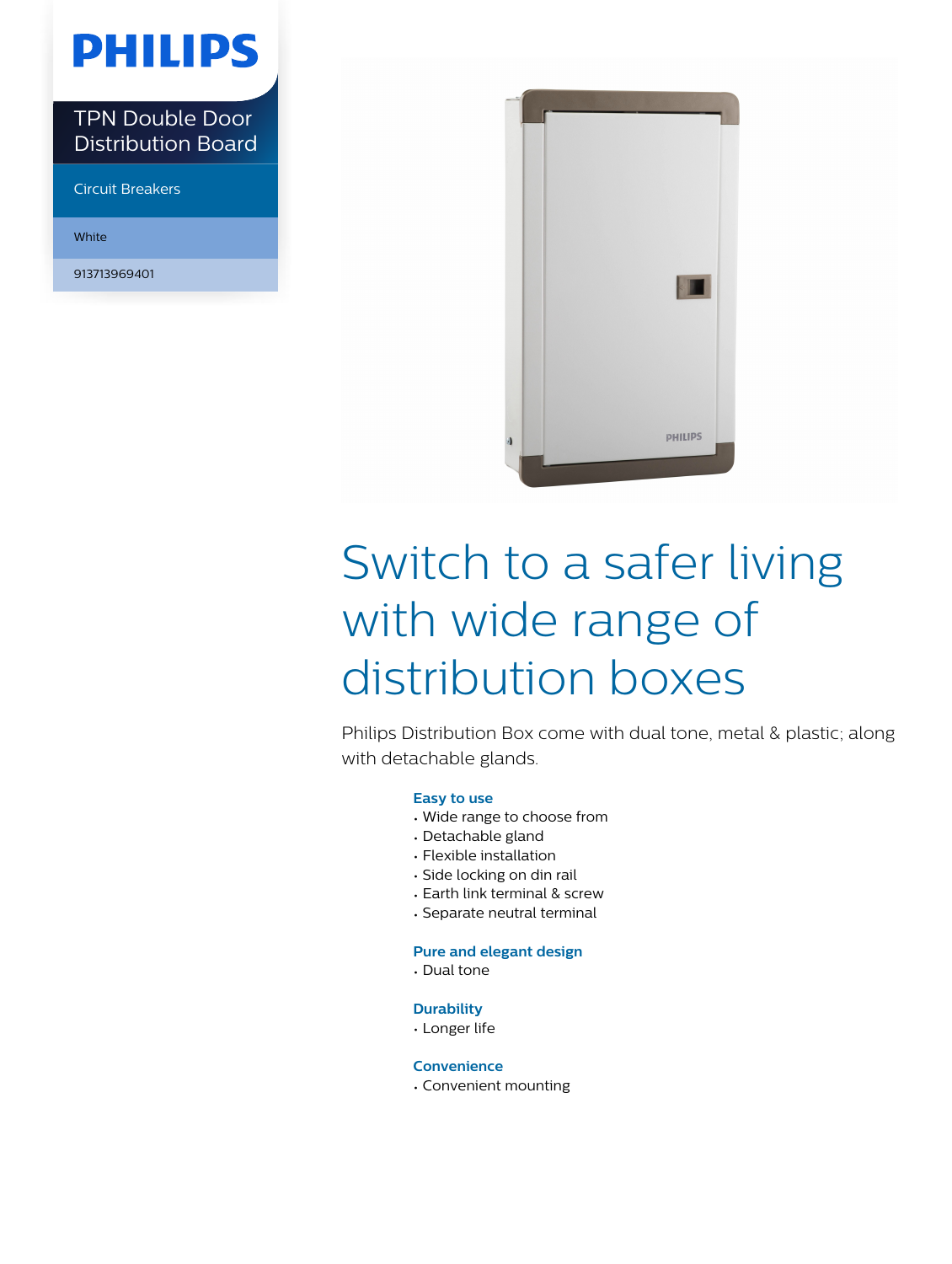## **PHILIPS**

TPN Double Door Distribution Board

Circuit Breakers

White

913713969401



# Switch to a safer living with wide range of distribution boxes

Philips Distribution Box come with dual tone, metal & plastic; along with detachable glands.

#### **Easy to use**

- Wide range to choose from
- Detachable gland
- Flexible installation
- Side locking on din rail
- Earth link terminal & screw
- Separate neutral terminal

#### **Pure and elegant design**

• Dual tone

#### **Durability**

• Longer life

#### **Convenience**

• Convenient mounting